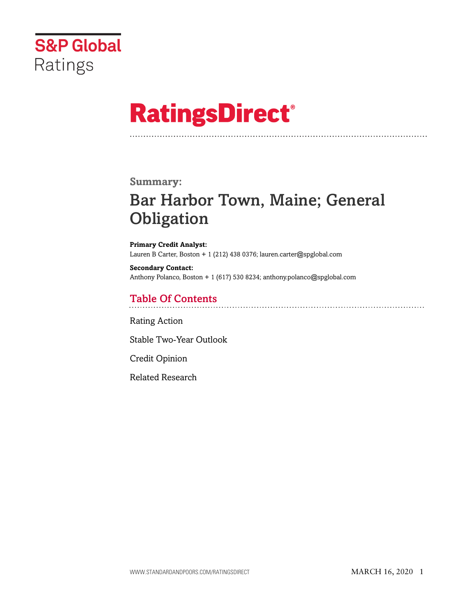

# **RatingsDirect®**

### **Summary:**

# Bar Harbor Town, Maine; General **Obligation**

**Primary Credit Analyst:** Lauren B Carter, Boston + 1 (212) 438 0376; lauren.carter@spglobal.com

**Secondary Contact:** Anthony Polanco, Boston + 1 (617) 530 8234; anthony.polanco@spglobal.com

# Table Of Contents

[Rating Action](#page-1-0)

[Stable Two-Year Outlook](#page-2-0)

[Credit Opinion](#page-2-1)

[Related Research](#page-6-0)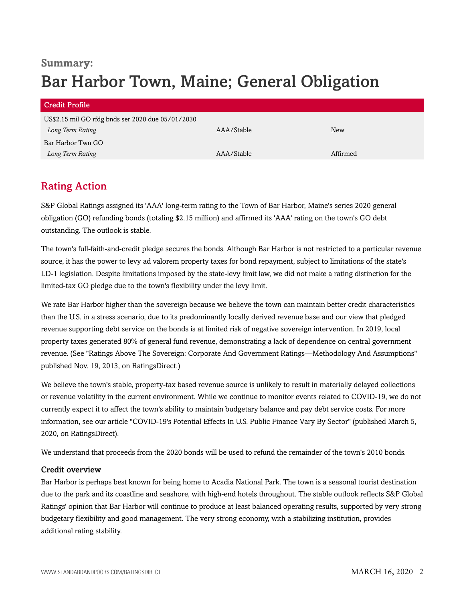# **Summary:** Bar Harbor Town, Maine; General Obligation

| <b>Credit Profile</b>                             |            |          |  |
|---------------------------------------------------|------------|----------|--|
| US\$2.15 mil GO rfdg bnds ser 2020 due 05/01/2030 |            |          |  |
| Long Term Rating                                  | AAA/Stable | New      |  |
| Bar Harbor Twn GO                                 |            |          |  |
| Long Term Rating                                  | AAA/Stable | Affirmed |  |

# <span id="page-1-0"></span>Rating Action

S&P Global Ratings assigned its 'AAA' long-term rating to the Town of Bar Harbor, Maine's series 2020 general obligation (GO) refunding bonds (totaling \$2.15 million) and affirmed its 'AAA' rating on the town's GO debt outstanding. The outlook is stable.

The town's full-faith-and-credit pledge secures the bonds. Although Bar Harbor is not restricted to a particular revenue source, it has the power to levy ad valorem property taxes for bond repayment, subject to limitations of the state's LD-1 legislation. Despite limitations imposed by the state-levy limit law, we did not make a rating distinction for the limited-tax GO pledge due to the town's flexibility under the levy limit.

We rate Bar Harbor higher than the sovereign because we believe the town can maintain better credit characteristics than the U.S. in a stress scenario, due to its predominantly locally derived revenue base and our view that pledged revenue supporting debt service on the bonds is at limited risk of negative sovereign intervention. In 2019, local property taxes generated 80% of general fund revenue, demonstrating a lack of dependence on central government revenue. (See "Ratings Above The Sovereign: Corporate And Government Ratings—Methodology And Assumptions" published Nov. 19, 2013, on RatingsDirect.)

We believe the town's stable, property-tax based revenue source is unlikely to result in materially delayed collections or revenue volatility in the current environment. While we continue to monitor events related to COVID-19, we do not currently expect it to affect the town's ability to maintain budgetary balance and pay debt service costs. For more information, see our article "COVID-19's Potential Effects In U.S. Public Finance Vary By Sector" (published March 5, 2020, on RatingsDirect).

We understand that proceeds from the 2020 bonds will be used to refund the remainder of the town's 2010 bonds.

#### Credit overview

Bar Harbor is perhaps best known for being home to Acadia National Park. The town is a seasonal tourist destination due to the park and its coastline and seashore, with high-end hotels throughout. The stable outlook reflects S&P Global Ratings' opinion that Bar Harbor will continue to produce at least balanced operating results, supported by very strong budgetary flexibility and good management. The very strong economy, with a stabilizing institution, provides additional rating stability.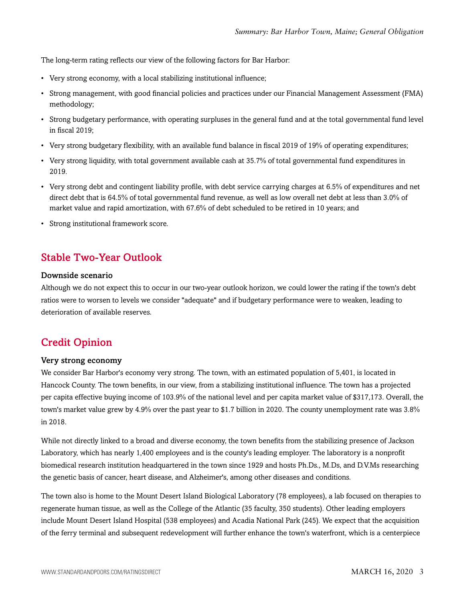The long-term rating reflects our view of the following factors for Bar Harbor:

- Very strong economy, with a local stabilizing institutional influence;
- Strong management, with good financial policies and practices under our Financial Management Assessment (FMA) methodology;
- Strong budgetary performance, with operating surpluses in the general fund and at the total governmental fund level in fiscal 2019;
- Very strong budgetary flexibility, with an available fund balance in fiscal 2019 of 19% of operating expenditures;
- Very strong liquidity, with total government available cash at 35.7% of total governmental fund expenditures in 2019.
- Very strong debt and contingent liability profile, with debt service carrying charges at 6.5% of expenditures and net direct debt that is 64.5% of total governmental fund revenue, as well as low overall net debt at less than 3.0% of market value and rapid amortization, with 67.6% of debt scheduled to be retired in 10 years; and
- Strong institutional framework score.

## <span id="page-2-0"></span>Stable Two-Year Outlook

#### Downside scenario

Although we do not expect this to occur in our two-year outlook horizon, we could lower the rating if the town's debt ratios were to worsen to levels we consider "adequate" and if budgetary performance were to weaken, leading to deterioration of available reserves.

### <span id="page-2-1"></span>Credit Opinion

#### Very strong economy

We consider Bar Harbor's economy very strong. The town, with an estimated population of 5,401, is located in Hancock County. The town benefits, in our view, from a stabilizing institutional influence. The town has a projected per capita effective buying income of 103.9% of the national level and per capita market value of \$317,173. Overall, the town's market value grew by 4.9% over the past year to \$1.7 billion in 2020. The county unemployment rate was 3.8% in 2018.

While not directly linked to a broad and diverse economy, the town benefits from the stabilizing presence of Jackson Laboratory, which has nearly 1,400 employees and is the county's leading employer. The laboratory is a nonprofit biomedical research institution headquartered in the town since 1929 and hosts Ph.Ds., M.Ds, and D.V.Ms researching the genetic basis of cancer, heart disease, and Alzheimer's, among other diseases and conditions.

The town also is home to the Mount Desert Island Biological Laboratory (78 employees), a lab focused on therapies to regenerate human tissue, as well as the College of the Atlantic (35 faculty, 350 students). Other leading employers include Mount Desert Island Hospital (538 employees) and Acadia National Park (245). We expect that the acquisition of the ferry terminal and subsequent redevelopment will further enhance the town's waterfront, which is a centerpiece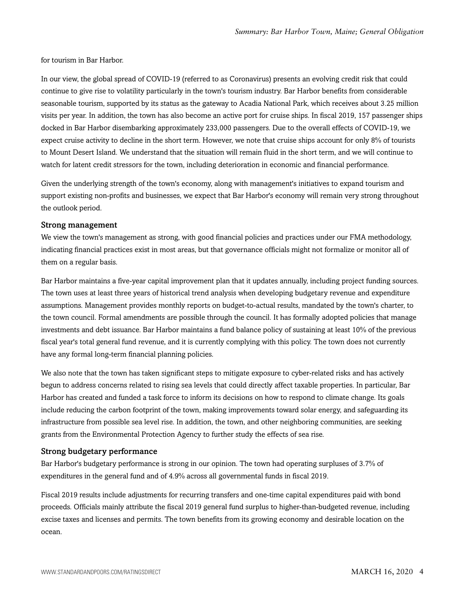for tourism in Bar Harbor.

In our view, the global spread of COVID-19 (referred to as Coronavirus) presents an evolving credit risk that could continue to give rise to volatility particularly in the town's tourism industry. Bar Harbor benefits from considerable seasonable tourism, supported by its status as the gateway to Acadia National Park, which receives about 3.25 million visits per year. In addition, the town has also become an active port for cruise ships. In fiscal 2019, 157 passenger ships docked in Bar Harbor disembarking approximately 233,000 passengers. Due to the overall effects of COVID-19, we expect cruise activity to decline in the short term. However, we note that cruise ships account for only 8% of tourists to Mount Desert Island. We understand that the situation will remain fluid in the short term, and we will continue to watch for latent credit stressors for the town, including deterioration in economic and financial performance.

Given the underlying strength of the town's economy, along with management's initiatives to expand tourism and support existing non-profits and businesses, we expect that Bar Harbor's economy will remain very strong throughout the outlook period.

#### Strong management

We view the town's management as strong, with good financial policies and practices under our FMA methodology, indicating financial practices exist in most areas, but that governance officials might not formalize or monitor all of them on a regular basis.

Bar Harbor maintains a five-year capital improvement plan that it updates annually, including project funding sources. The town uses at least three years of historical trend analysis when developing budgetary revenue and expenditure assumptions. Management provides monthly reports on budget-to-actual results, mandated by the town's charter, to the town council. Formal amendments are possible through the council. It has formally adopted policies that manage investments and debt issuance. Bar Harbor maintains a fund balance policy of sustaining at least 10% of the previous fiscal year's total general fund revenue, and it is currently complying with this policy. The town does not currently have any formal long-term financial planning policies.

We also note that the town has taken significant steps to mitigate exposure to cyber-related risks and has actively begun to address concerns related to rising sea levels that could directly affect taxable properties. In particular, Bar Harbor has created and funded a task force to inform its decisions on how to respond to climate change. Its goals include reducing the carbon footprint of the town, making improvements toward solar energy, and safeguarding its infrastructure from possible sea level rise. In addition, the town, and other neighboring communities, are seeking grants from the Environmental Protection Agency to further study the effects of sea rise.

#### Strong budgetary performance

Bar Harbor's budgetary performance is strong in our opinion. The town had operating surpluses of 3.7% of expenditures in the general fund and of 4.9% across all governmental funds in fiscal 2019.

Fiscal 2019 results include adjustments for recurring transfers and one-time capital expenditures paid with bond proceeds. Officials mainly attribute the fiscal 2019 general fund surplus to higher-than-budgeted revenue, including excise taxes and licenses and permits. The town benefits from its growing economy and desirable location on the ocean.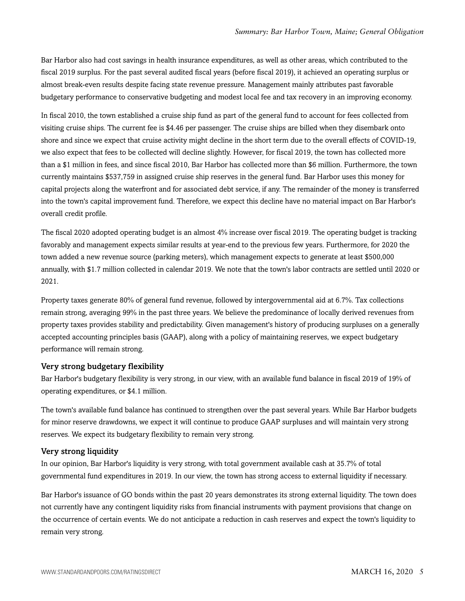Bar Harbor also had cost savings in health insurance expenditures, as well as other areas, which contributed to the fiscal 2019 surplus. For the past several audited fiscal years (before fiscal 2019), it achieved an operating surplus or almost break-even results despite facing state revenue pressure. Management mainly attributes past favorable budgetary performance to conservative budgeting and modest local fee and tax recovery in an improving economy.

In fiscal 2010, the town established a cruise ship fund as part of the general fund to account for fees collected from visiting cruise ships. The current fee is \$4.46 per passenger. The cruise ships are billed when they disembark onto shore and since we expect that cruise activity might decline in the short term due to the overall effects of COVID-19, we also expect that fees to be collected will decline slightly. However, for fiscal 2019, the town has collected more than a \$1 million in fees, and since fiscal 2010, Bar Harbor has collected more than \$6 million. Furthermore, the town currently maintains \$537,759 in assigned cruise ship reserves in the general fund. Bar Harbor uses this money for capital projects along the waterfront and for associated debt service, if any. The remainder of the money is transferred into the town's capital improvement fund. Therefore, we expect this decline have no material impact on Bar Harbor's overall credit profile.

The fiscal 2020 adopted operating budget is an almost 4% increase over fiscal 2019. The operating budget is tracking favorably and management expects similar results at year-end to the previous few years. Furthermore, for 2020 the town added a new revenue source (parking meters), which management expects to generate at least \$500,000 annually, with \$1.7 million collected in calendar 2019. We note that the town's labor contracts are settled until 2020 or 2021.

Property taxes generate 80% of general fund revenue, followed by intergovernmental aid at 6.7%. Tax collections remain strong, averaging 99% in the past three years. We believe the predominance of locally derived revenues from property taxes provides stability and predictability. Given management's history of producing surpluses on a generally accepted accounting principles basis (GAAP), along with a policy of maintaining reserves, we expect budgetary performance will remain strong.

#### Very strong budgetary flexibility

Bar Harbor's budgetary flexibility is very strong, in our view, with an available fund balance in fiscal 2019 of 19% of operating expenditures, or \$4.1 million.

The town's available fund balance has continued to strengthen over the past several years. While Bar Harbor budgets for minor reserve drawdowns, we expect it will continue to produce GAAP surpluses and will maintain very strong reserves. We expect its budgetary flexibility to remain very strong.

#### Very strong liquidity

In our opinion, Bar Harbor's liquidity is very strong, with total government available cash at 35.7% of total governmental fund expenditures in 2019. In our view, the town has strong access to external liquidity if necessary.

Bar Harbor's issuance of GO bonds within the past 20 years demonstrates its strong external liquidity. The town does not currently have any contingent liquidity risks from financial instruments with payment provisions that change on the occurrence of certain events. We do not anticipate a reduction in cash reserves and expect the town's liquidity to remain very strong.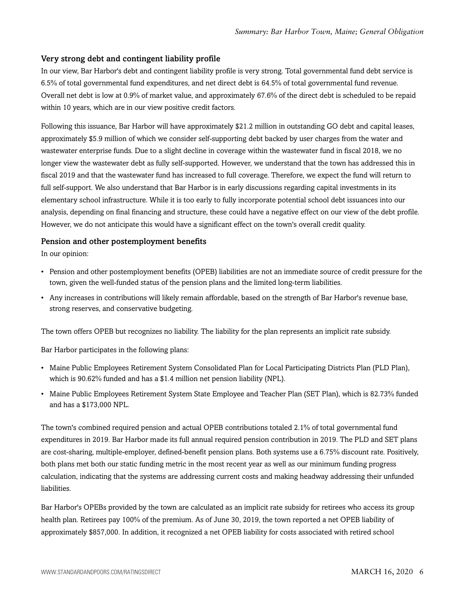#### Very strong debt and contingent liability profile

In our view, Bar Harbor's debt and contingent liability profile is very strong. Total governmental fund debt service is 6.5% of total governmental fund expenditures, and net direct debt is 64.5% of total governmental fund revenue. Overall net debt is low at 0.9% of market value, and approximately 67.6% of the direct debt is scheduled to be repaid within 10 years, which are in our view positive credit factors.

Following this issuance, Bar Harbor will have approximately \$21.2 million in outstanding GO debt and capital leases, approximately \$5.9 million of which we consider self-supporting debt backed by user charges from the water and wastewater enterprise funds. Due to a slight decline in coverage within the wastewater fund in fiscal 2018, we no longer view the wastewater debt as fully self-supported. However, we understand that the town has addressed this in fiscal 2019 and that the wastewater fund has increased to full coverage. Therefore, we expect the fund will return to full self-support. We also understand that Bar Harbor is in early discussions regarding capital investments in its elementary school infrastructure. While it is too early to fully incorporate potential school debt issuances into our analysis, depending on final financing and structure, these could have a negative effect on our view of the debt profile. However, we do not anticipate this would have a significant effect on the town's overall credit quality.

#### Pension and other postemployment benefits

In our opinion:

- Pension and other postemployment benefits (OPEB) liabilities are not an immediate source of credit pressure for the town, given the well-funded status of the pension plans and the limited long-term liabilities.
- Any increases in contributions will likely remain affordable, based on the strength of Bar Harbor's revenue base, strong reserves, and conservative budgeting.

The town offers OPEB but recognizes no liability. The liability for the plan represents an implicit rate subsidy.

Bar Harbor participates in the following plans:

- Maine Public Employees Retirement System Consolidated Plan for Local Participating Districts Plan (PLD Plan), which is 90.62% funded and has a \$1.4 million net pension liability (NPL).
- Maine Public Employees Retirement System State Employee and Teacher Plan (SET Plan), which is 82.73% funded and has a \$173,000 NPL.

The town's combined required pension and actual OPEB contributions totaled 2.1% of total governmental fund expenditures in 2019. Bar Harbor made its full annual required pension contribution in 2019. The PLD and SET plans are cost-sharing, multiple-employer, defined-benefit pension plans. Both systems use a 6.75% discount rate. Positively, both plans met both our static funding metric in the most recent year as well as our minimum funding progress calculation, indicating that the systems are addressing current costs and making headway addressing their unfunded liabilities.

Bar Harbor's OPEBs provided by the town are calculated as an implicit rate subsidy for retirees who access its group health plan. Retirees pay 100% of the premium. As of June 30, 2019, the town reported a net OPEB liability of approximately \$857,000. In addition, it recognized a net OPEB liability for costs associated with retired school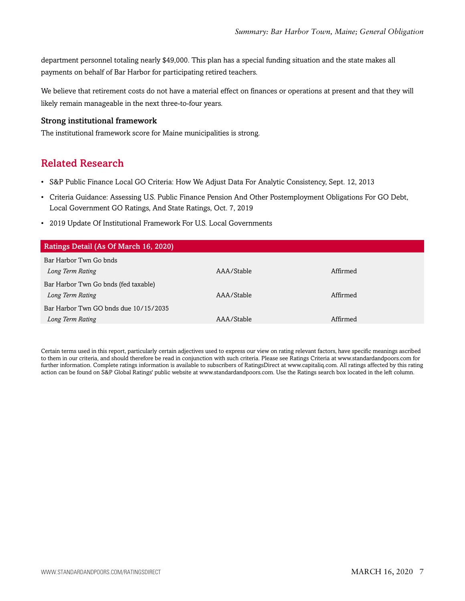department personnel totaling nearly \$49,000. This plan has a special funding situation and the state makes all payments on behalf of Bar Harbor for participating retired teachers.

We believe that retirement costs do not have a material effect on finances or operations at present and that they will likely remain manageable in the next three-to-four years.

#### Strong institutional framework

<span id="page-6-0"></span>The institutional framework score for Maine municipalities is strong.

# Related Research

- S&P Public Finance Local GO Criteria: How We Adjust Data For Analytic Consistency, Sept. 12, 2013
- Criteria Guidance: Assessing U.S. Public Finance Pension And Other Postemployment Obligations For GO Debt, Local Government GO Ratings, And State Ratings, Oct. 7, 2019
- 2019 Update Of Institutional Framework For U.S. Local Governments

| Ratings Detail (As Of March 16, 2020)                     |            |          |
|-----------------------------------------------------------|------------|----------|
| Bar Harbor Twn Go bnds<br>Long Term Rating                | AAA/Stable | Affirmed |
| Bar Harbor Twn Go bnds (fed taxable)<br>Long Term Rating  | AAA/Stable | Affirmed |
| Bar Harbor Twn GO bnds due 10/15/2035<br>Long Term Rating | AAA/Stable | Affirmed |

Certain terms used in this report, particularly certain adjectives used to express our view on rating relevant factors, have specific meanings ascribed to them in our criteria, and should therefore be read in conjunction with such criteria. Please see Ratings Criteria at www.standardandpoors.com for further information. Complete ratings information is available to subscribers of RatingsDirect at www.capitaliq.com. All ratings affected by this rating action can be found on S&P Global Ratings' public website at www.standardandpoors.com. Use the Ratings search box located in the left column.